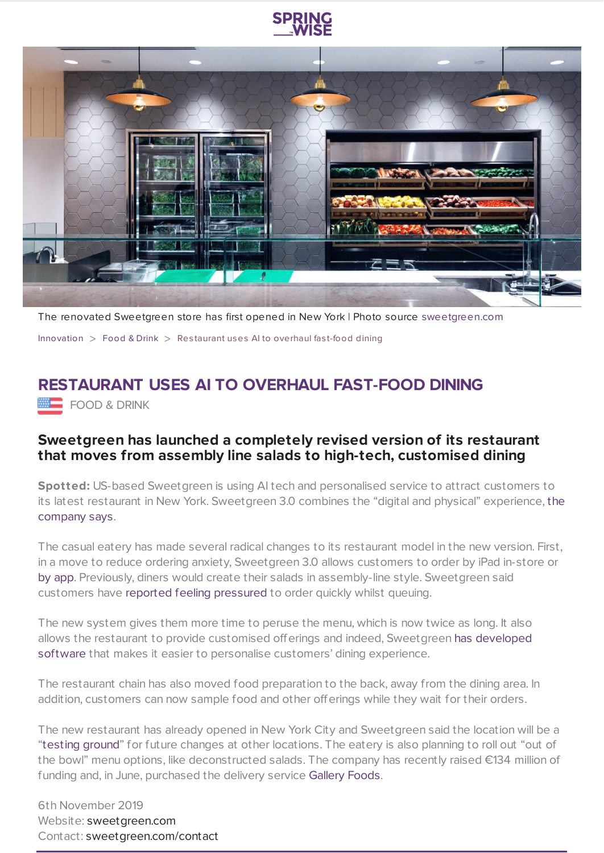



The renovated Sweetgreen store has first opened in New York | Photo source [sweetgreen.com](https://www.sweetgreen.com/)

[Innovation](https://www.springwise.com/search?type=innovation)  $>$  [Food](https://www.springwise.com/search?type=innovation§or=food-and-drink) & Drink  $>$  Restaurant uses AI to overhaul fast-food dining

## **RESTAURANT USES AI TO OVERHAUL FAST-FOOD DINING**

**EDOD & DRINK** 

## **Sweetgreen has launched a completely revised version of its restaurant that moves from assembly line salads to high-tech, customised dining**

**Spotted:** US-based Sweetgreen is using AI tech and personalised service to attract customers to its latest restaurant in New York. [Sweetgreen](https://www.linkedin.com/posts/jonathan-neman-9a28aa8_after-2-years-of-hard-work-today-we-debut-activity-6594584414821453824-lxuT/) 3.0 combines the "digital and physical" experience, the company says.

The casual eatery has made several radical changes to its restaurant model in the new version. First, in a move to reduce ordering anxiety, Sweetgreen 3.0 allows customers to order by iPad in-store or by [app.](https://www.sweetgreen.com/#get-the-app) Previously, diners would create their salads in assembly-line style. Sweetgreen said customers have reported feeling [pressured](https://www.restaurantbusinessonline.com/food/sweetgreens-new-model-will-evolve-expand-its-menu) to order quickly whilst queuing.

The new system gives them more time to peruse the menu, which is now twice as long. It also allows the restaurant to provide customised offerings and indeed, [Sweetgreen](https://www.restaurantbusinessonline.com/financing/sweetgreen-grabs-200m-latest-funding-round) has developed software that makes it easier to personalise customers' dining experience.

The restaurant chain has also moved food preparation to the back, away from the dining area. In addition, customers can now sample food and other offerings while they wait for their orders.

The new restaurant has already opened in New York City and Sweetgreen said the location will be a ["testing](https://thespoon.tech/sweetgreen-unveils-high-tech-store-design-in-manhattan/?ct=t(RSS_EMAIL_CAMPAIGN)&mc_cid=0f7e3f1026&mc_eid=3073d1eae3) ground" for future changes at other locations. The eatery is also planning to roll out "out of the bowl" menu options, like deconstructed salads. The company has recently raised €134 million of funding and, in June, purchased the delivery service [Gallery](https://www.galleyfoods.com/welcome) Foods.

6th November 2019 Website: [sweetgreen.com](https://www.sweetgreen.com/) Contact: [sweetgreen.com/contact](https://www.sweetgreen.com/contact/)